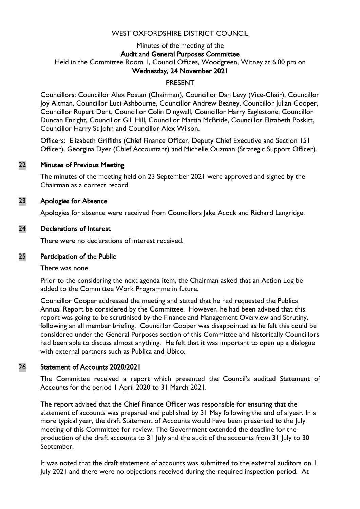# WEST OXFORDSHIRE DISTRICT COUNCIL

#### Minutes of the meeting of the Audit and General Purposes Committee Held in the Committee Room 1, Council Offices, Woodgreen, Witney at 6.00 pm on Wednesday, 24 November 2021

## PRESENT

Councillors: Councillor Alex Postan (Chairman), Councillor Dan Levy (Vice-Chair), Councillor Joy Aitman, Councillor Luci Ashbourne, Councillor Andrew Beaney, Councillor Julian Cooper, Councillor Rupert Dent, Councillor Colin Dingwall, Councillor Harry Eaglestone, Councillor Duncan Enright, Councillor Gill Hill, Councillor Martin McBride, Councillor Elizabeth Poskitt, Councillor Harry St John and Councillor Alex Wilson.

Officers: Elizabeth Griffiths (Chief Finance Officer, Deputy Chief Executive and Section 151 Officer), Georgina Dyer (Chief Accountant) and Michelle Ouzman (Strategic Support Officer).

#### 22 Minutes of Previous Meeting

The minutes of the meeting held on 23 September 2021 were approved and signed by the Chairman as a correct record.

#### 23 Apologies for Absence

Apologies for absence were received from Councillors Jake Acock and Richard Langridge.

#### 24 Declarations of Interest

There were no declarations of interest received.

#### 25 Participation of the Public

There was none.

Prior to the considering the next agenda item, the Chairman asked that an Action Log be added to the Committee Work Programme in future.

Councillor Cooper addressed the meeting and stated that he had requested the Publica Annual Report be considered by the Committee. However, he had been advised that this report was going to be scrutinised by the Finance and Management Overview and Scrutiny, following an all member briefing. Councillor Cooper was disappointed as he felt this could be considered under the General Purposes section of this Committee and historically Councillors had been able to discuss almost anything. He felt that it was important to open up a dialogue with external partners such as Publica and Ubico.

#### 26 Statement of Accounts 2020/2021

The Committee received a report which presented the Council's audited Statement of Accounts for the period 1 April 2020 to 31 March 2021.

The report advised that the Chief Finance Officer was responsible for ensuring that the statement of accounts was prepared and published by 31 May following the end of a year. In a more typical year, the draft Statement of Accounts would have been presented to the July meeting of this Committee for review. The Government extended the deadline for the production of the draft accounts to 31 July and the audit of the accounts from 31 July to 30 September.

It was noted that the draft statement of accounts was submitted to the external auditors on 1 July 2021 and there were no objections received during the required inspection period. At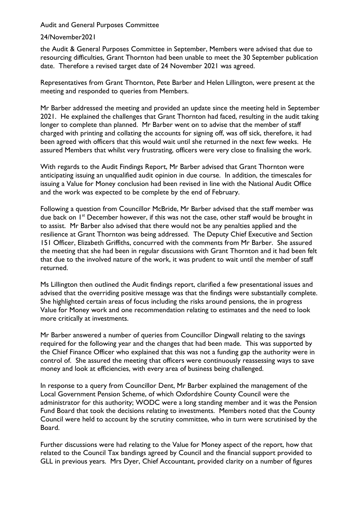Audit and General Purposes Committee

## 24/November2021

the Audit & General Purposes Committee in September, Members were advised that due to resourcing difficulties, Grant Thornton had been unable to meet the 30 September publication date. Therefore a revised target date of 24 November 2021 was agreed.

Representatives from Grant Thornton, Pete Barber and Helen Lillington, were present at the meeting and responded to queries from Members.

Mr Barber addressed the meeting and provided an update since the meeting held in September 2021. He explained the challenges that Grant Thornton had faced, resulting in the audit taking longer to complete than planned. Mr Barber went on to advise that the member of staff charged with printing and collating the accounts for signing off, was off sick, therefore, it had been agreed with officers that this would wait until she returned in the next few weeks. He assured Members that whilst very frustrating, officers were very close to finalising the work.

With regards to the Audit Findings Report, Mr Barber advised that Grant Thornton were anticipating issuing an unqualified audit opinion in due course. In addition, the timescales for issuing a Value for Money conclusion had been revised in line with the National Audit Office and the work was expected to be complete by the end of February.

Following a question from Councillor McBride, Mr Barber advised that the staff member was due back on  $I<sup>st</sup>$  December however, if this was not the case, other staff would be brought in to assist. Mr Barber also advised that there would not be any penalties applied and the resilience at Grant Thornton was being addressed. The Deputy Chief Executive and Section 151 Officer, Elizabeth Griffiths, concurred with the comments from Mr Barber. She assured the meeting that she had been in regular discussions with Grant Thornton and it had been felt that due to the involved nature of the work, it was prudent to wait until the member of staff returned.

Ms Lillington then outlined the Audit findings report, clarified a few presentational issues and advised that the overriding positive message was that the findings were substantially complete. She highlighted certain areas of focus including the risks around pensions, the in progress Value for Money work and one recommendation relating to estimates and the need to look more critically at investments.

Mr Barber answered a number of queries from Councillor Dingwall relating to the savings required for the following year and the changes that had been made. This was supported by the Chief Finance Officer who explained that this was not a funding gap the authority were in control of. She assured the meeting that officers were continuously reassessing ways to save money and look at efficiencies, with every area of business being challenged.

In response to a query from Councillor Dent, Mr Barber explained the management of the Local Government Pension Scheme, of which Oxfordshire County Council were the administrator for this authority; WODC were a long standing member and it was the Pension Fund Board that took the decisions relating to investments. Members noted that the County Council were held to account by the scrutiny committee, who in turn were scrutinised by the Board.

Further discussions were had relating to the Value for Money aspect of the report, how that related to the Council Tax bandings agreed by Council and the financial support provided to GLL in previous years. Mrs Dyer, Chief Accountant, provided clarity on a number of figures